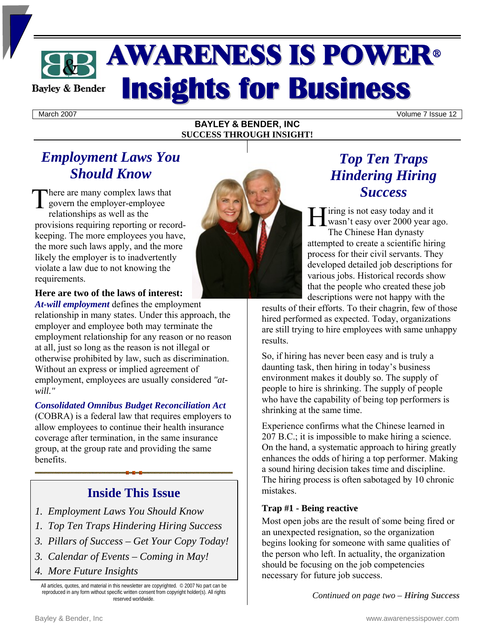# AWARENESS IS POWER<sup>ü</sup> **Insights for Business Bayley & Bender**

March 2007 Volume 7 Issue 12

#### **BAYLEY & BENDER, INC SUCCESS THROUGH INSIGHT!**

## *Employment Laws You Should Know*

here are many complex laws that govern the employer-employee relationships as well as the provisions requiring reporting or recordkeeping. The more employees you have, the more such laws apply, and the more likely the employer is to inadvertently violate a law due to not knowing the requirements. There are many complex laws that<br>govern the employer-employee<br>provisions requiring reporting or record-

### **Here are two of the laws of interest:**

*At-will employment* defines the employment relationship in many states. Under this approach, the employer and employee both may terminate the employment relationship for any reason or no reason at all, just so long as the reason is not illegal or otherwise prohibited by law, such as discrimination. Without an express or implied agreement of employment, employees are usually considered *"atwill."* 

#### *Consolidated Omnibus Budget Reconciliation Act*

(COBRA) is a federal law that requires employers to allow employees to continue their health insurance coverage after termination, in the same insurance group, at the group rate and providing the same benefits.

### **Inside This Issue**

- *1. Employment Laws You Should Know*
- *1. Top Ten Traps Hindering Hiring Success*
- *3. Pillars of Success Get Your Copy Today!*
- *3. Calendar of Events Coming in May!*
- *4. More Future Insights*

All articles, quotes, and material in this newsletter are copyrighted. © 2007 No part can be reproduced in any form without specific written consent from copyright holder(s). All rights reserved worldwide.

# *Top Ten Traps Hindering Hiring Success*

iring is not easy today and it wasn't easy over 2000 year ago. The Chinese Han dynasty

attempted to create a scientific hiring process for their civil servants. They developed detailed job descriptions for various jobs. Historical records show that the people who created these job descriptions were not happy with the

results of their efforts. To their chagrin, few of those hired performed as expected. Today, organizations are still trying to hire employees with same unhappy results.

So, if hiring has never been easy and is truly a daunting task, then hiring in today's business environment makes it doubly so. The supply of people to hire is shrinking. The supply of people who have the capability of being top performers is shrinking at the same time.

Experience confirms what the Chinese learned in 207 B.C.; it is impossible to make hiring a science. On the hand, a systematic approach to hiring greatly enhances the odds of hiring a top performer. Making a sound hiring decision takes time and discipline. The hiring process is often sabotaged by 10 chronic mistakes.

#### **Trap #1 - Being reactive**

Most open jobs are the result of some being fired or an unexpected resignation, so the organization begins looking for someone with same qualities of the person who left. In actuality, the organization should be focusing on the job competencies necessary for future job success.

*Continued on page two – Hiring Success*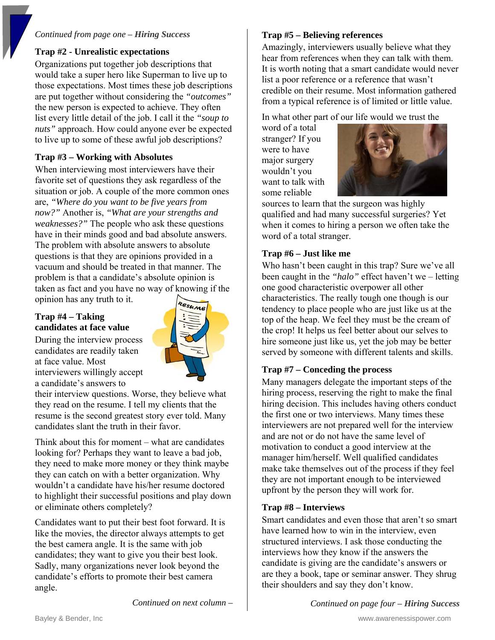#### *Continued from page one – Hiring Success*

#### **Trap #2 - Unrealistic expectations**

Organizations put together job descriptions that would take a super hero like Superman to live up to those expectations. Most times these job descriptions are put together without considering the *"outcomes"*  the new person is expected to achieve. They often list every little detail of the job. I call it the *"soup to nuts"* approach. How could anyone ever be expected to live up to some of these awful job descriptions?

#### **Trap #3 – Working with Absolutes**

When interviewing most interviewers have their favorite set of questions they ask regardless of the situation or job. A couple of the more common ones are, *"Where do you want to be five years from now?"* Another is, *"What are your strengths and weaknesses?"* The people who ask these questions have in their minds good and bad absolute answers. The problem with absolute answers to absolute questions is that they are opinions provided in a vacuum and should be treated in that manner. The problem is that a candidate's absolute opinion is taken as fact and you have no way of knowing if the opinion has any truth to it.

#### **Trap #4 – Taking candidates at face value**

During the interview process candidates are readily taken at face value. Most interviewers willingly accept a candidate's answers to



their interview questions. Worse, they believe what they read on the resume. I tell my clients that the resume is the second greatest story ever told. Many candidates slant the truth in their favor.

Think about this for moment – what are candidates looking for? Perhaps they want to leave a bad job, they need to make more money or they think maybe they can catch on with a better organization. Why wouldn't a candidate have his/her resume doctored to highlight their successful positions and play down or eliminate others completely?

Candidates want to put their best foot forward. It is like the movies, the director always attempts to get the best camera angle. It is the same with job candidates; they want to give you their best look. Sadly, many organizations never look beyond the candidate's efforts to promote their best camera angle.

#### **Trap #5 – Believing references**

Amazingly, interviewers usually believe what they hear from references when they can talk with them. It is worth noting that a smart candidate would never list a poor reference or a reference that wasn't credible on their resume. Most information gathered from a typical reference is of limited or little value.

In what other part of our life would we trust the

word of a total stranger? If you were to have major surgery wouldn't you want to talk with some reliable



sources to learn that the surgeon was highly qualified and had many successful surgeries? Yet when it comes to hiring a person we often take the word of a total stranger.

#### **Trap #6 – Just like me**

Who hasn't been caught in this trap? Sure we've all been caught in the *"halo"* effect haven't we – letting one good characteristic overpower all other characteristics. The really tough one though is our tendency to place people who are just like us at the top of the heap. We feel they must be the cream of the crop! It helps us feel better about our selves to hire someone just like us, yet the job may be better served by someone with different talents and skills.

#### **Trap #7 – Conceding the process**

Many managers delegate the important steps of the hiring process, reserving the right to make the final hiring decision. This includes having others conduct the first one or two interviews. Many times these interviewers are not prepared well for the interview and are not or do not have the same level of motivation to conduct a good interview at the manager him/herself. Well qualified candidates make take themselves out of the process if they feel they are not important enough to be interviewed upfront by the person they will work for.

#### **Trap #8 – Interviews**

Smart candidates and even those that aren't so smart have learned how to win in the interview, even structured interviews. I ask those conducting the interviews how they know if the answers the candidate is giving are the candidate's answers or are they a book, tape or seminar answer. They shrug their shoulders and say they don't know.

*Continued on page four – Hiring Success*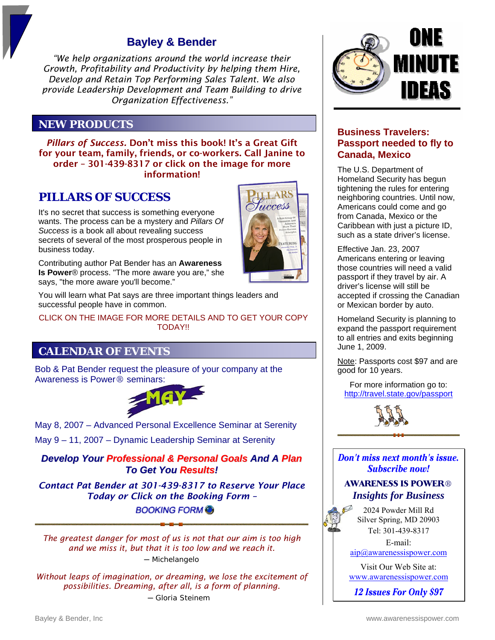### **Bayley & Bender**

*"We help organizations around the world increase their Growth, Profitability and Productivity by helping them Hire, Develop and Retain Top Performing Sales Talent. We also provide Leadership Development and Team Building to drive Organization Effectiveness."* 

#### **NEW PRODUCTS**

*Pillars of Success.* Don't miss this book! It's a Great Gift for your team, family, friends, or co-workers. Call Janine to order – 301-439-8317 or click on the image for more information!

### **PILLARS OF SUCCESS**

It's no secret that success is something everyone wants. The process can be a mystery and *Pillars Of Success* is a book all about revealing success secrets of several of the most prosperous people in business today.



You will learn what Pat says are three important things leaders and successful people have in common.

CLICK ON THE IMAGE FOR MORE DETAILS AND TO GET YOUR COPY **TODAY!!** 

#### **CALENDAR OF EVENTS**

Bob & Pat Bender request the pleasure of your company at the



May 8, 2007 – Advanced Personal Excellence Seminar at Serenity

May 9 – 11, 2007 – Dynamic Leadership Seminar at Serenity

#### *Develop Your Professional & Personal Goals And A Plan To Get You Results!*

*Contact Pat Bender at 301-439-8317 to Reserve Your Place Today or Click on the Booking Form –* 

**BOOKINGFORM** 

*The greatest danger for most of us is not that our aim is too high and we miss it, but that it is too low and we reach it.* ─ Michelangelo

*Without leaps of imagination, or dreaming, we lose the excitement of possibilities. Dreaming, after all, is a form of planning.*

─ Gloria Steinem



#### **Business Travelers: Passport needed to fly to Canada, Mexico**

The U.S. Department of Homeland Security has begun tightening the rules for entering neighboring countries. Until now, Americans could come and go from Canada, Mexico or the Caribbean with just a picture ID, such as a state driver's license.

Effective Jan. 23, 2007 Americans entering or leaving those countries will need a valid passport if they travel by air. A driver's license will still be accepted if crossing the Canadian or Mexican border by auto.

Homeland Security is planning to expand the passport requirement to all entries and exits beginning June 1, 2009.

Note: Passports cost \$97 and are good for 10 years.

For more information go to: <http://travel.state.gov/passport>



Don't miss next month's issue. Subscribe now!

#### **AWARENESS IS POWER®** *Insights for Business*

2024 Powder Mill Rd Silver Spring, MD 20903 Tel: 301-439-8317

E-mail: [aip@awarenessispower.com](mailto: aip@awarenessispower.com) 

Visit Our Web Site at: <www.awarenessispower.com>

**12 Issues For Only \$97**